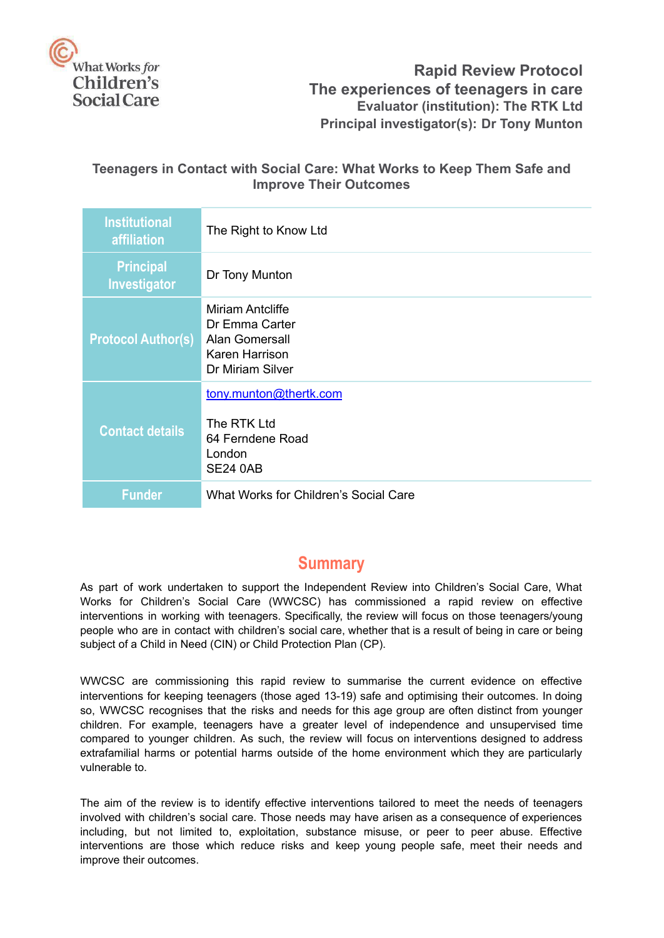

### **Rapid Review Protocol The experiences of teenagers in care Evaluator (institution): The RTK Ltd Principal investigator(s): Dr Tony Munton**

### **Teenagers in Contact with Social Care: What Works to Keep Them Safe and Improve Their Outcomes**

| <b>Institutional</b><br>affiliation | The Right to Know Ltd                                                                       |
|-------------------------------------|---------------------------------------------------------------------------------------------|
| <b>Principal</b><br>Investigator    | Dr Tony Munton                                                                              |
| <b>Protocol Author(s)</b>           | Miriam Antcliffe<br>Dr Emma Carter<br>Alan Gomersall<br>Karen Harrison<br>Dr Miriam Silver  |
| <b>Contact details</b>              | tony.munton@thertk.com<br>The RTK Ltd<br>64 Ferndene Road<br>London<br>SE <sub>24</sub> 0AB |
| <b>Funder</b>                       | What Works for Children's Social Care                                                       |

## **Summary**

<span id="page-0-0"></span>As part of work undertaken to support the Independent Review into Children's Social Care, What Works for Children's Social Care (WWCSC) has commissioned a rapid review on effective interventions in working with teenagers. Specifically, the review will focus on those teenagers/young people who are in contact with children's social care, whether that is a result of being in care or being subject of a Child in Need (CIN) or Child Protection Plan (CP).

WWCSC are commissioning this rapid review to summarise the current evidence on effective interventions for keeping teenagers (those aged 13-19) safe and optimising their outcomes. In doing so, WWCSC recognises that the risks and needs for this age group are often distinct from younger children. For example, teenagers have a greater level of independence and unsupervised time compared to younger children. As such, the review will focus on interventions designed to address extrafamilial harms or potential harms outside of the home environment which they are particularly vulnerable to.

The aim of the review is to identify effective interventions tailored to meet the needs of teenagers involved with children's social care. Those needs may have arisen as a consequence of experiences including, but not limited to, exploitation, substance misuse, or peer to peer abuse. Effective interventions are those which reduce risks and keep young people safe, meet their needs and improve their outcomes.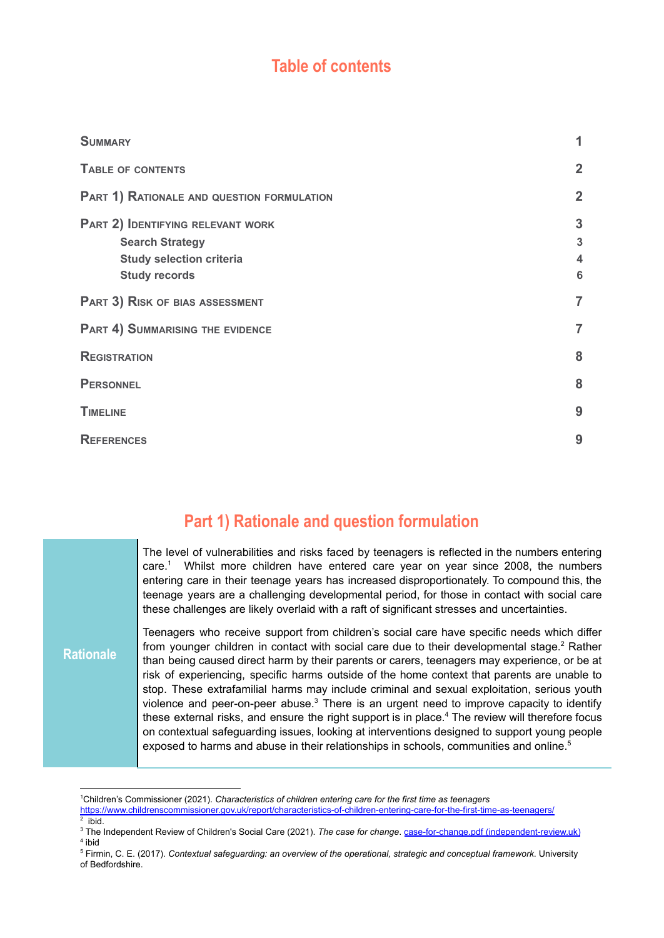# **Table of contents**

<span id="page-1-0"></span>

| <b>SUMMARY</b>                                                                                                         | 1                           |
|------------------------------------------------------------------------------------------------------------------------|-----------------------------|
| <b>TABLE OF CONTENTS</b>                                                                                               | $\overline{2}$              |
| PART 1) RATIONALE AND QUESTION FORMULATION                                                                             | $\overline{2}$              |
| PART 2) IDENTIFYING RELEVANT WORK<br><b>Search Strategy</b><br><b>Study selection criteria</b><br><b>Study records</b> | $\mathbf{3}$<br>3<br>4<br>6 |
| PART 3) RISK OF BIAS ASSESSMENT                                                                                        | $\overline{7}$              |
| <b>PART 4) SUMMARISING THE EVIDENCE</b>                                                                                | $\overline{7}$              |
| <b>REGISTRATION</b>                                                                                                    | 8                           |
| <b>PERSONNEL</b>                                                                                                       | 8                           |
| <b>TIMELINE</b>                                                                                                        | 9                           |
| <b>REFERENCES</b>                                                                                                      | 9                           |

# **Part 1) Rationale and question formulation**

<span id="page-1-1"></span>**Rationale** The level of vulnerabilities and risks faced by teenagers is reflected in the numbers entering care.<sup>1</sup> Whilst more children have entered care year on year since 2008, the numbers entering care in their teenage years has increased disproportionately. To compound this, the teenage years are a challenging developmental period, for those in contact with social care these challenges are likely overlaid with a raft of significant stresses and uncertainties. Teenagers who receive support from children's social care have specific needs which differ from younger children in contact with social care due to their developmental stage.<sup>2</sup> Rather than being caused direct harm by their parents or carers, teenagers may experience, or be at risk of experiencing, specific harms outside of the home context that parents are unable to stop. These extrafamilial harms may include criminal and sexual exploitation, serious youth violence and peer-on-peer abuse. $3$  There is an urgent need to improve capacity to identify these external risks, and ensure the right support is in place.<sup>4</sup> The review will therefore focus on contextual safeguarding issues, looking at interventions designed to support young people exposed to harms and abuse in their relationships in schools, communities and online.<sup>5</sup>

<sup>2</sup> ibid. <sup>1</sup>Children's Commissioner (2021). *Characteristics of children entering care for the first time as teenagers* <https://www.childrenscommissioner.gov.uk/report/characteristics-of-children-entering-care-for-the-first-time-as-teenagers/>

<sup>4</sup> ibid <sup>3</sup> The Independent Review of Children's Social Care (2021). *The case for change*. case-for-change.pdf [\(independent-review.uk\)](https://childrenssocialcare.independent-review.uk/wp-content/uploads/2021/06/case-for-change.pdf)

<sup>5</sup> Firmin, C. E. (2017). *Contextual safeguarding: an overview of the operational, strategic and conceptual framework*. University of Bedfordshire.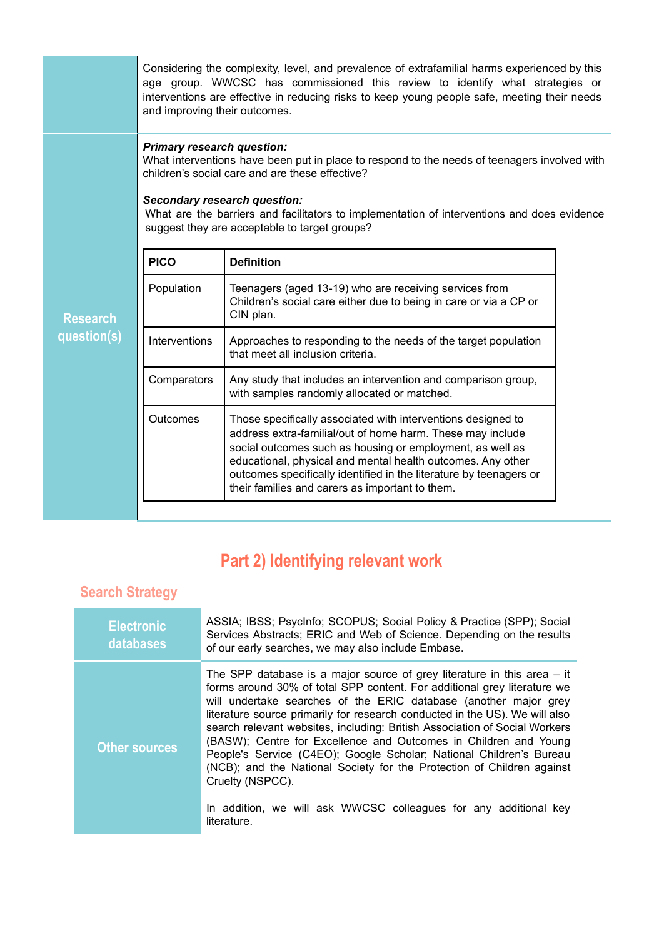|                 | Considering the complexity, level, and prevalence of extrafamilial harms experienced by this<br>age group. WWCSC has commissioned this review to identify what strategies or<br>interventions are effective in reducing risks to keep young people safe, meeting their needs<br>and improving their outcomes. |                                                                                                                                                                                                                                                                                                                                                                                 |  |
|-----------------|---------------------------------------------------------------------------------------------------------------------------------------------------------------------------------------------------------------------------------------------------------------------------------------------------------------|---------------------------------------------------------------------------------------------------------------------------------------------------------------------------------------------------------------------------------------------------------------------------------------------------------------------------------------------------------------------------------|--|
|                 | <b>Primary research question:</b><br><b>Secondary research question:</b>                                                                                                                                                                                                                                      | What interventions have been put in place to respond to the needs of teenagers involved with<br>children's social care and are these effective?<br>What are the barriers and facilitators to implementation of interventions and does evidence<br>suggest they are acceptable to target groups?                                                                                 |  |
|                 | <b>PICO</b>                                                                                                                                                                                                                                                                                                   | <b>Definition</b>                                                                                                                                                                                                                                                                                                                                                               |  |
| <b>Research</b> | Population                                                                                                                                                                                                                                                                                                    | Teenagers (aged 13-19) who are receiving services from<br>Children's social care either due to being in care or via a CP or<br>CIN plan.                                                                                                                                                                                                                                        |  |
| question(s)     | <b>Interventions</b>                                                                                                                                                                                                                                                                                          | Approaches to responding to the needs of the target population<br>that meet all inclusion criteria.                                                                                                                                                                                                                                                                             |  |
|                 | Comparators                                                                                                                                                                                                                                                                                                   | Any study that includes an intervention and comparison group,<br>with samples randomly allocated or matched.                                                                                                                                                                                                                                                                    |  |
|                 | <b>Outcomes</b>                                                                                                                                                                                                                                                                                               | Those specifically associated with interventions designed to<br>address extra-familial/out of home harm. These may include<br>social outcomes such as housing or employment, as well as<br>educational, physical and mental health outcomes. Any other<br>outcomes specifically identified in the literature by teenagers or<br>their families and carers as important to them. |  |
|                 |                                                                                                                                                                                                                                                                                                               |                                                                                                                                                                                                                                                                                                                                                                                 |  |

# **Part 2) Identifying relevant work**

# <span id="page-2-1"></span><span id="page-2-0"></span>**Search Strategy**

| <b>Electronic</b><br>databases | ASSIA; IBSS; PsycInfo; SCOPUS; Social Policy & Practice (SPP); Social<br>Services Abstracts; ERIC and Web of Science. Depending on the results<br>of our early searches, we may also include Embase.                                                                                                                                                                                                                                                                                                                                                                                                                                                                                                               |
|--------------------------------|--------------------------------------------------------------------------------------------------------------------------------------------------------------------------------------------------------------------------------------------------------------------------------------------------------------------------------------------------------------------------------------------------------------------------------------------------------------------------------------------------------------------------------------------------------------------------------------------------------------------------------------------------------------------------------------------------------------------|
| <b>Other sources</b>           | The SPP database is a major source of grey literature in this area $-$ it<br>forms around 30% of total SPP content. For additional grey literature we<br>will undertake searches of the ERIC database (another major grey<br>literature source primarily for research conducted in the US). We will also<br>search relevant websites, including: British Association of Social Workers<br>(BASW); Centre for Excellence and Outcomes in Children and Young<br>People's Service (C4EO); Google Scholar; National Children's Bureau<br>(NCB); and the National Society for the Protection of Children against<br>Cruelty (NSPCC).<br>In addition, we will ask WWCSC colleagues for any additional key<br>literature. |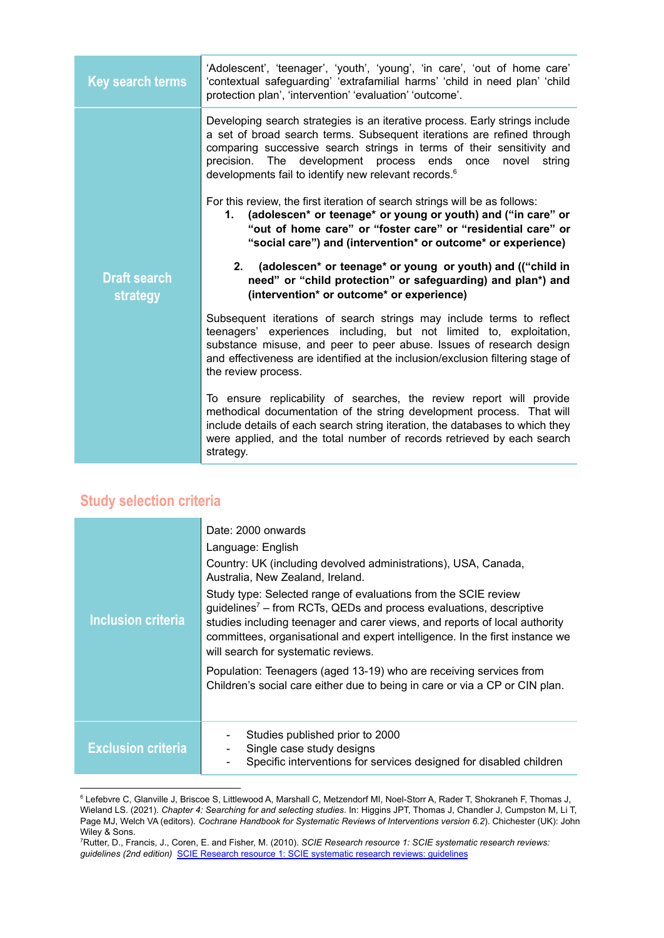| <b>Key search terms</b>         | 'Adolescent', 'teenager', 'youth', 'young', 'in care', 'out of home care'<br>'contextual safeguarding' 'extrafamilial harms' 'child in need plan' 'child<br>protection plan', 'intervention' 'evaluation' 'outcome'.                                                                                                                                                  |
|---------------------------------|-----------------------------------------------------------------------------------------------------------------------------------------------------------------------------------------------------------------------------------------------------------------------------------------------------------------------------------------------------------------------|
|                                 | Developing search strategies is an iterative process. Early strings include<br>a set of broad search terms. Subsequent iterations are refined through<br>comparing successive search strings in terms of their sensitivity and<br>precision. The development process ends once<br>novel<br>string<br>developments fail to identify new relevant records. <sup>6</sup> |
|                                 | For this review, the first iteration of search strings will be as follows:<br>(adolescen* or teenage* or young or youth) and ("in care" or<br>1.<br>"out of home care" or "foster care" or "residential care" or<br>"social care") and (intervention* or outcome* or experience)                                                                                      |
| <b>Draft search</b><br>strategy | 2. (adolescen* or teenage* or young or youth) and (("child in<br>need" or "child protection" or safeguarding) and plan*) and<br>(intervention* or outcome* or experience)                                                                                                                                                                                             |
|                                 | Subsequent iterations of search strings may include terms to reflect<br>teenagers' experiences including, but not limited to, exploitation,<br>substance misuse, and peer to peer abuse. Issues of research design<br>and effectiveness are identified at the inclusion/exclusion filtering stage of<br>the review process.                                           |
|                                 | To ensure replicability of searches, the review report will provide<br>methodical documentation of the string development process. That will<br>include details of each search string iteration, the databases to which they<br>were applied, and the total number of records retrieved by each search<br>strategy.                                                   |

# <span id="page-3-0"></span>**Study selection criteria**

| Inclusion criteria        | Date: 2000 onwards<br>Language: English<br>Country: UK (including devolved administrations), USA, Canada,<br>Australia, New Zealand, Ireland.<br>Study type: Selected range of evaluations from the SCIE review<br>guidelines <sup><math>7</math></sup> – from RCTs, QEDs and process evaluations, descriptive<br>studies including teenager and carer views, and reports of local authority<br>committees, organisational and expert intelligence. In the first instance we<br>will search for systematic reviews.<br>Population: Teenagers (aged 13-19) who are receiving services from<br>Children's social care either due to being in care or via a CP or CIN plan. |
|---------------------------|--------------------------------------------------------------------------------------------------------------------------------------------------------------------------------------------------------------------------------------------------------------------------------------------------------------------------------------------------------------------------------------------------------------------------------------------------------------------------------------------------------------------------------------------------------------------------------------------------------------------------------------------------------------------------|
| <b>Exclusion criteria</b> | Studies published prior to 2000<br>Single case study designs<br>Specific interventions for services designed for disabled children<br>$\overline{\phantom{a}}$                                                                                                                                                                                                                                                                                                                                                                                                                                                                                                           |

<sup>&</sup>lt;sup>6</sup> Lefebvre C, Glanville J, Briscoe S, Littlewood A, Marshall C, Metzendorf MI, Noel-Storr A, Rader T, Shokraneh F, Thomas J, Wieland LS. (2021). *Chapter 4: Searching for and selecting studies*. In: Higgins JPT, Thomas J, Chandler J, Cumpston M, Li T, Page MJ, Welch VA (editors). *Cochrane Handbook for Systematic Reviews of Interventions version 6.2*). Chichester (UK): John Wiley & Sons.

<sup>7</sup>Rutter, D., Francis, J., Coren, E. and Fisher, M. (2010). *SCIE Research resource 1: SCIE systematic research reviews: guidelines (2nd edition)* SCIE Research resource 1: SCIE [systematic](https://www.scie.org.uk/publications/researchresources/rr01.asp) research reviews: guidelines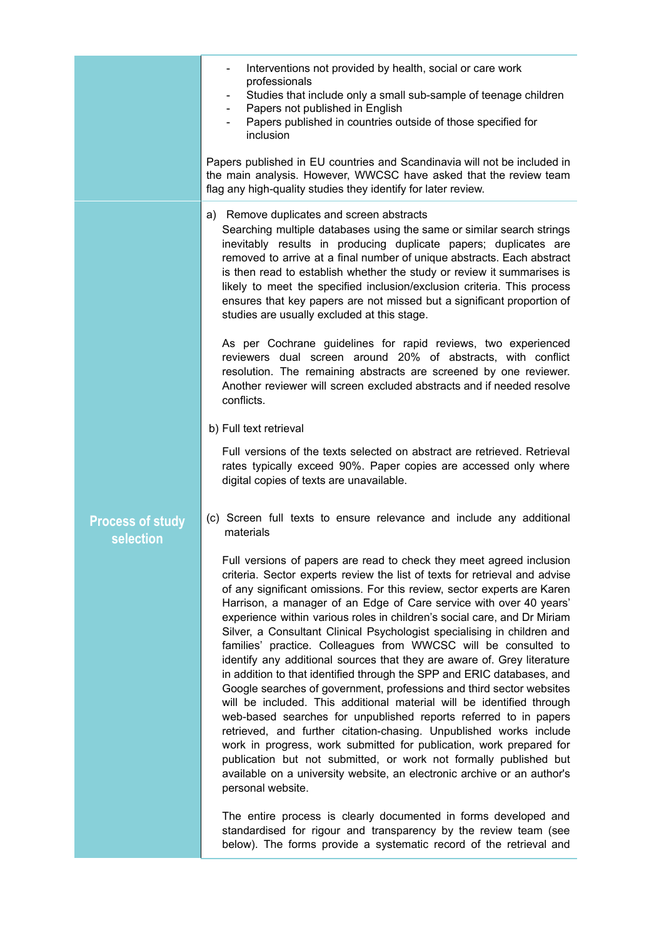|                                      | Interventions not provided by health, social or care work<br>professionals<br>Studies that include only a small sub-sample of teenage children<br>Papers not published in English<br>Papers published in countries outside of those specified for<br>inclusion<br>Papers published in EU countries and Scandinavia will not be included in<br>the main analysis. However, WWCSC have asked that the review team<br>flag any high-quality studies they identify for later review.                                                                                                                                                                                                                                                                                                                                                                                                                                                                                                                                                                                                                                                                                                                                                                                                         |
|--------------------------------------|------------------------------------------------------------------------------------------------------------------------------------------------------------------------------------------------------------------------------------------------------------------------------------------------------------------------------------------------------------------------------------------------------------------------------------------------------------------------------------------------------------------------------------------------------------------------------------------------------------------------------------------------------------------------------------------------------------------------------------------------------------------------------------------------------------------------------------------------------------------------------------------------------------------------------------------------------------------------------------------------------------------------------------------------------------------------------------------------------------------------------------------------------------------------------------------------------------------------------------------------------------------------------------------|
|                                      | a) Remove duplicates and screen abstracts<br>Searching multiple databases using the same or similar search strings<br>inevitably results in producing duplicate papers; duplicates are<br>removed to arrive at a final number of unique abstracts. Each abstract<br>is then read to establish whether the study or review it summarises is<br>likely to meet the specified inclusion/exclusion criteria. This process<br>ensures that key papers are not missed but a significant proportion of<br>studies are usually excluded at this stage.<br>As per Cochrane guidelines for rapid reviews, two experienced<br>reviewers dual screen around 20% of abstracts, with conflict<br>resolution. The remaining abstracts are screened by one reviewer.<br>Another reviewer will screen excluded abstracts and if needed resolve<br>conflicts.<br>b) Full text retrieval<br>Full versions of the texts selected on abstract are retrieved. Retrieval<br>rates typically exceed 90%. Paper copies are accessed only where<br>digital copies of texts are unavailable.                                                                                                                                                                                                                        |
| <b>Process of study</b><br>selection | (c) Screen full texts to ensure relevance and include any additional<br>materials<br>Full versions of papers are read to check they meet agreed inclusion<br>criteria. Sector experts review the list of texts for retrieval and advise<br>of any significant omissions. For this review, sector experts are Karen<br>Harrison, a manager of an Edge of Care service with over 40 years'<br>experience within various roles in children's social care, and Dr Miriam<br>Silver, a Consultant Clinical Psychologist specialising in children and<br>families' practice. Colleagues from WWCSC will be consulted to<br>identify any additional sources that they are aware of. Grey literature<br>in addition to that identified through the SPP and ERIC databases, and<br>Google searches of government, professions and third sector websites<br>will be included. This additional material will be identified through<br>web-based searches for unpublished reports referred to in papers<br>retrieved, and further citation-chasing. Unpublished works include<br>work in progress, work submitted for publication, work prepared for<br>publication but not submitted, or work not formally published but<br>available on a university website, an electronic archive or an author's |
|                                      | personal website.<br>The entire process is clearly documented in forms developed and<br>standardised for rigour and transparency by the review team (see<br>below). The forms provide a systematic record of the retrieval and                                                                                                                                                                                                                                                                                                                                                                                                                                                                                                                                                                                                                                                                                                                                                                                                                                                                                                                                                                                                                                                           |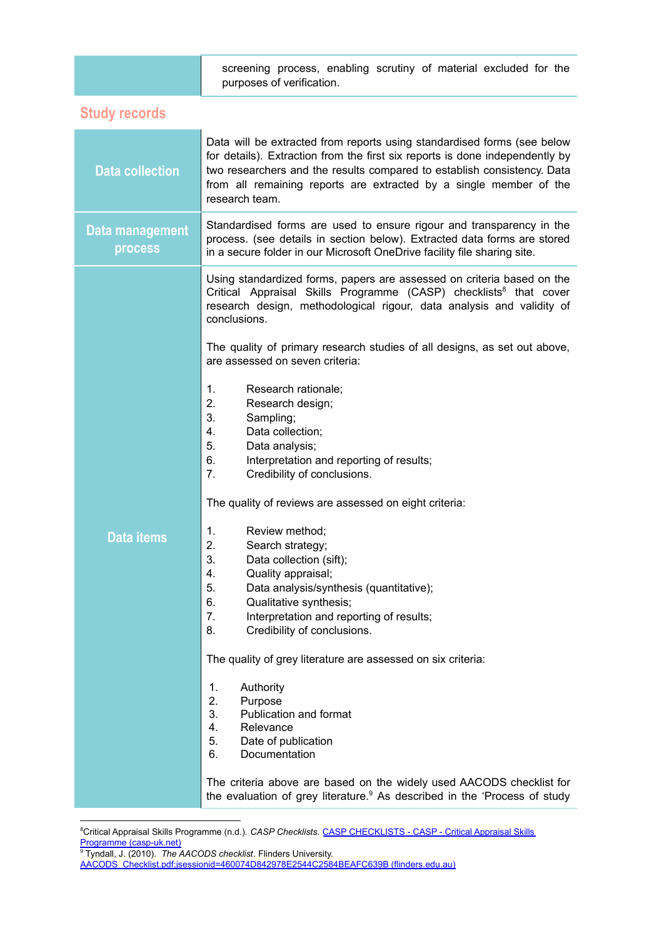<span id="page-5-0"></span>

|                                   | screening process, enabling scrutiny of material excluded for the<br>purposes of verification.                                                                                                                                                                                                                             |
|-----------------------------------|----------------------------------------------------------------------------------------------------------------------------------------------------------------------------------------------------------------------------------------------------------------------------------------------------------------------------|
| <b>Study records</b>              |                                                                                                                                                                                                                                                                                                                            |
| <b>Data collection</b>            | Data will be extracted from reports using standardised forms (see below<br>for details). Extraction from the first six reports is done independently by<br>two researchers and the results compared to establish consistency. Data<br>from all remaining reports are extracted by a single member of the<br>research team. |
| Data management<br><b>process</b> | Standardised forms are used to ensure rigour and transparency in the<br>process. (see details in section below). Extracted data forms are stored<br>in a secure folder in our Microsoft OneDrive facility file sharing site.                                                                                               |

Using standardized forms, papers are assessed on criteria based on the Critical Appraisal Skills Programme (CASP) checklists<sup>8</sup> that cover research design, methodological rigour, data analysis and validity of conclusions.

The quality of primary research studies of all designs, as set out above, are assessed on seven criteria:

- 1. Research rationale;
- 2. Research design;
- 3. Sampling;
- 4. Data collection;
- 5. Data analysis;
- 6. Interpretation and reporting of results;
- 7. Credibility of conclusions.

The quality of reviews are assessed on eight criteria:

#### **Data items**

#### 1. Review method; 2. Search strategy;

- 3. Data collection (sift);
- 4. Quality appraisal;
- 
- 5. Data analysis/synthesis (quantitative);
- 6. Qualitative synthesis;
- 7. Interpretation and reporting of results;
- 8. Credibility of conclusions.

The quality of grey literature are assessed on six criteria:

- 1. Authority
- 2. Purpose
- 3. Publication and format
- 4. Relevance
- 5. Date of publication
- 6. Documentation

The criteria above are based on the widely used AACODS checklist for the evaluation of grey literature. $9$  As described in the 'Process of study

<sup>&</sup>lt;sup>8</sup>Critical Appraisal Skills Programme (n.d.). *CASP Checklists*. *CASP [CHECKLISTS](https://casp-uk.net/casp-tools-checklists/) - CASP - Critical Appraisal Skills* Programme [\(casp-uk.net\)](https://casp-uk.net/casp-tools-checklists/)

<sup>9</sup> Tyndall, J. (2010). *The AACODS checklist*. Flinders University.

[AACODS\\_Checklist.pdf;jsessionid=460074D842978E2544C2584BEAFC639B](https://dspace.flinders.edu.au/xmlui/bitstream/handle/2328/3326/AACODS_Checklist.pdf;jsessionid=460074D842978E2544C2584BEAFC639B?sequence=4) (flinders.edu.au)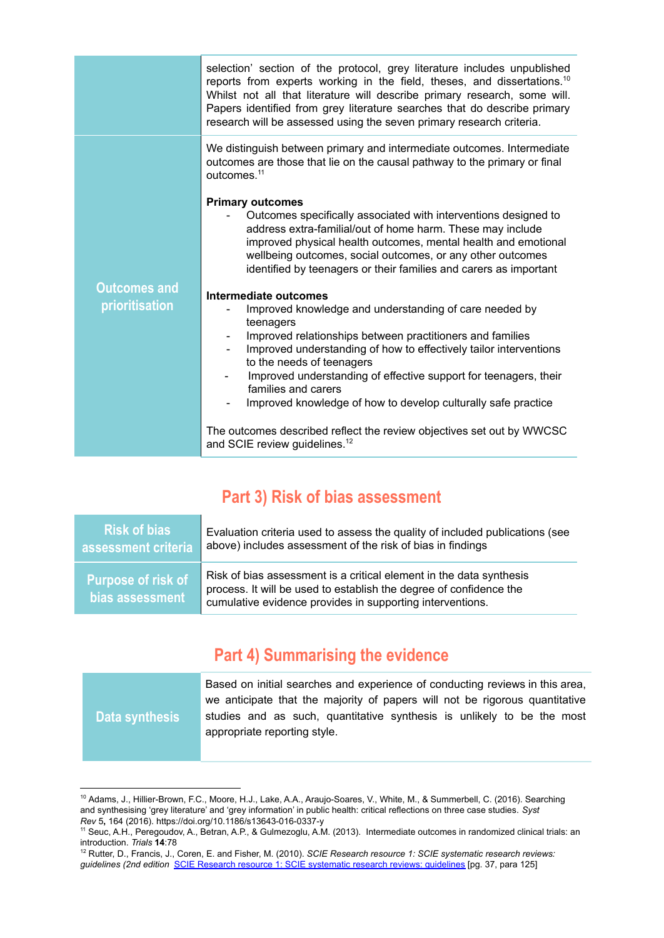|                                       | selection' section of the protocol, grey literature includes unpublished<br>reports from experts working in the field, theses, and dissertations. <sup>10</sup><br>Whilst not all that literature will describe primary research, some will.<br>Papers identified from grey literature searches that do describe primary<br>research will be assessed using the seven primary research criteria.                                                                                                                                                                                                                                                                                                                                                                                                                                                                                                                                                                                                                                                                                                 |
|---------------------------------------|--------------------------------------------------------------------------------------------------------------------------------------------------------------------------------------------------------------------------------------------------------------------------------------------------------------------------------------------------------------------------------------------------------------------------------------------------------------------------------------------------------------------------------------------------------------------------------------------------------------------------------------------------------------------------------------------------------------------------------------------------------------------------------------------------------------------------------------------------------------------------------------------------------------------------------------------------------------------------------------------------------------------------------------------------------------------------------------------------|
| <b>Outcomes and</b><br>prioritisation | We distinguish between primary and intermediate outcomes. Intermediate<br>outcomes are those that lie on the causal pathway to the primary or final<br>outcomes. <sup>11</sup><br><b>Primary outcomes</b><br>Outcomes specifically associated with interventions designed to<br>address extra-familial/out of home harm. These may include<br>improved physical health outcomes, mental health and emotional<br>wellbeing outcomes, social outcomes, or any other outcomes<br>identified by teenagers or their families and carers as important<br>Intermediate outcomes<br>Improved knowledge and understanding of care needed by<br>teenagers<br>Improved relationships between practitioners and families<br>Improved understanding of how to effectively tailor interventions<br>to the needs of teenagers<br>Improved understanding of effective support for teenagers, their<br>families and carers<br>Improved knowledge of how to develop culturally safe practice<br>The outcomes described reflect the review objectives set out by WWCSC<br>and SCIE review guidelines. <sup>12</sup> |
|                                       |                                                                                                                                                                                                                                                                                                                                                                                                                                                                                                                                                                                                                                                                                                                                                                                                                                                                                                                                                                                                                                                                                                  |

# **Part 3) Risk of bias assessment**

<span id="page-6-0"></span>

| Risk of bias                                 | Evaluation criteria used to assess the quality of included publications (see                                                                                                                           |
|----------------------------------------------|--------------------------------------------------------------------------------------------------------------------------------------------------------------------------------------------------------|
| assessment criteria                          | above) includes assessment of the risk of bias in findings                                                                                                                                             |
| <b>Purpose of risk of</b><br>bias assessment | Risk of bias assessment is a critical element in the data synthesis<br>process. It will be used to establish the degree of confidence the<br>cumulative evidence provides in supporting interventions. |

# **Part 4) Summarising the evidence**

<span id="page-6-1"></span>

| Data synthesis | Based on initial searches and experience of conducting reviews in this area,<br>we anticipate that the majority of papers will not be rigorous quantitative<br>studies and as such, quantitative synthesis is unlikely to be the most<br>appropriate reporting style. |
|----------------|-----------------------------------------------------------------------------------------------------------------------------------------------------------------------------------------------------------------------------------------------------------------------|

<sup>10</sup> Adams, J., Hillier-Brown, F.C., Moore, H.J., Lake, A.A., Araujo-Soares, V., White, M., & Summerbell, C. (2016). Searching and synthesising 'grey literature' and 'grey information' in public health: critical reflections on three case studies. *Syst Rev* 5**,** 164 (2016). https://doi.org/10.1186/s13643-016-0337-y

<sup>11</sup> Seuc, A.H., Peregoudov, A., Betran, A.P., & Gulmezoglu, A.M. (2013). Intermediate outcomes in randomized clinical trials: an introduction. *Trials* **14**:78

<sup>12</sup> Rutter, D., Francis, J., Coren, E. and Fisher, M. (2010). *SCIE Research resource 1: SCIE systematic research reviews: guidelines (2nd edition* SCIE Research resource 1: SCIE [systematic](https://www.scie.org.uk/publications/researchresources/rr01.asp) research reviews: guidelines [pg. 37, para 125]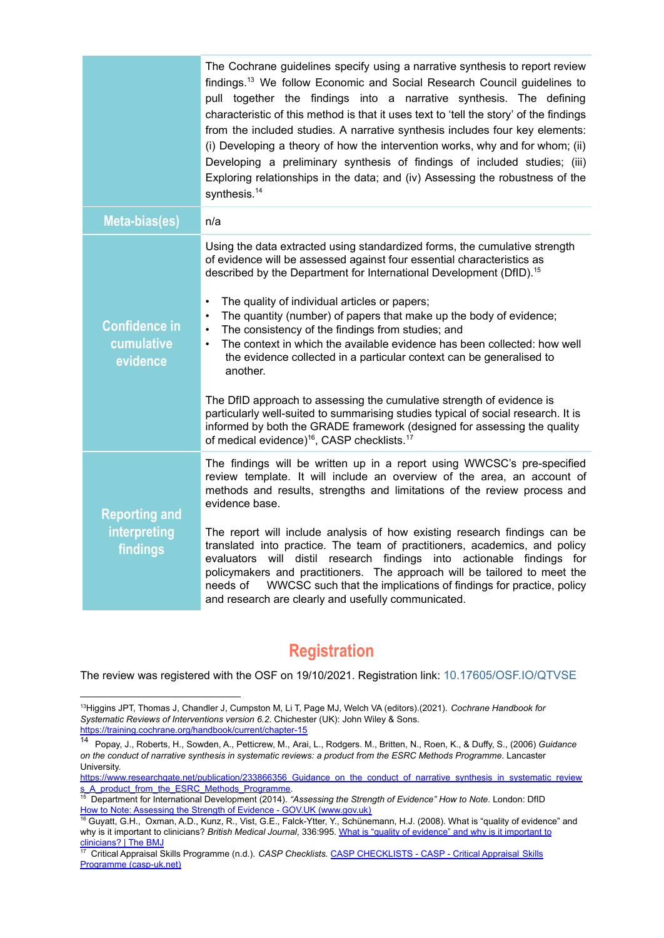|                                                         | The Cochrane guidelines specify using a narrative synthesis to report review<br>findings. <sup>13</sup> We follow Economic and Social Research Council guidelines to<br>pull together the findings into a narrative synthesis. The defining<br>characteristic of this method is that it uses text to 'tell the story' of the findings<br>from the included studies. A narrative synthesis includes four key elements:<br>(i) Developing a theory of how the intervention works, why and for whom; (ii)<br>Developing a preliminary synthesis of findings of included studies; (iii)<br>Exploring relationships in the data; and (iv) Assessing the robustness of the<br>synthesis. <sup>14</sup>                                                                                                                                                                                                                                                         |
|---------------------------------------------------------|----------------------------------------------------------------------------------------------------------------------------------------------------------------------------------------------------------------------------------------------------------------------------------------------------------------------------------------------------------------------------------------------------------------------------------------------------------------------------------------------------------------------------------------------------------------------------------------------------------------------------------------------------------------------------------------------------------------------------------------------------------------------------------------------------------------------------------------------------------------------------------------------------------------------------------------------------------|
| Meta-bias(es)                                           | n/a                                                                                                                                                                                                                                                                                                                                                                                                                                                                                                                                                                                                                                                                                                                                                                                                                                                                                                                                                      |
| <b>Confidence in</b><br>cumulative<br>evidence          | Using the data extracted using standardized forms, the cumulative strength<br>of evidence will be assessed against four essential characteristics as<br>described by the Department for International Development (DfID). <sup>15</sup><br>The quality of individual articles or papers;<br>$\bullet$<br>The quantity (number) of papers that make up the body of evidence;<br>$\bullet$<br>The consistency of the findings from studies; and<br>$\bullet$<br>The context in which the available evidence has been collected: how well<br>$\bullet$<br>the evidence collected in a particular context can be generalised to<br>another.<br>The DfID approach to assessing the cumulative strength of evidence is<br>particularly well-suited to summarising studies typical of social research. It is<br>informed by both the GRADE framework (designed for assessing the quality<br>of medical evidence) <sup>16</sup> , CASP checklists. <sup>17</sup> |
| <b>Reporting and</b><br><b>interpreting</b><br>findings | The findings will be written up in a report using WWCSC's pre-specified<br>review template. It will include an overview of the area, an account of<br>methods and results, strengths and limitations of the review process and<br>evidence base.<br>The report will include analysis of how existing research findings can be<br>translated into practice. The team of practitioners, academics, and policy<br>evaluators will distil research findings into actionable findings for<br>policymakers and practitioners. The approach will be tailored to meet the<br>WWCSC such that the implications of findings for practice, policy<br>needs of<br>and research are clearly and usefully communicated.                                                                                                                                                                                                                                                |

### **Registration**

<span id="page-7-0"></span>The review was registered with the OSF on 19/10/2021. Registration link: [10.17605/OSF.IO/QTVSE](https://doi.org/10.17605/OSF.IO/QTVSE)

<sup>13</sup>Higgins JPT, Thomas J, Chandler J, Cumpston M, Li T, Page MJ, Welch VA (editors).(2021). *Cochrane Handbook for Systematic Reviews of Interventions version 6.2*. Chichester (UK): John Wiley & Sons. <https://training.cochrane.org/handbook/current/chapter-15>

<sup>14</sup> Popay, J., Roberts, H., Sowden, A., Petticrew, M., Arai, L., Rodgers. M., Britten, N., Roen, K., & Duffy, S., (2006) *Guidance* on the conduct of narrative synthesis in systematic reviews: a product from the ESRC Methods Programme. Lancaster University.

[https://www.researchgate.net/publication/233866356\\_Guidance\\_on\\_the\\_conduct\\_of\\_narrative\\_synthesis\\_in\\_systematic\\_review](https://www.researchgate.net/publication/233866356_Guidance_on_the_conduct_of_narrative_synthesis_in_systematic_reviews_A_product_from_the_ESRC_Methods_Programme) [s\\_A\\_product\\_from\\_the\\_ESRC\\_Methods\\_Programme.](https://www.researchgate.net/publication/233866356_Guidance_on_the_conduct_of_narrative_synthesis_in_systematic_reviews_A_product_from_the_ESRC_Methods_Programme)

<sup>15</sup> Department for International Development (2014). *"Assessing the Strength of Evidence" How to Note*. London: DfID How to Note: Assessing the Strength of Evidence - GOV.UK (www.gov.uk)

<sup>16</sup> Guyatt, G.H., Oxman, A.D., Kunz, R., Vist, G.E., Falck-Ytter, Y., Schünemann, H.J. (2008). What is "quality of evidence" and why is it important to clinicians? *British Medical Journal*, 336:995. What is "quality of [evidence"](https://www.bmj.com/content/336/7651/995) and why is it important to [clinicians?](https://www.bmj.com/content/336/7651/995) | The BMJ

<sup>17</sup> Critical Appraisal Skills Programme (n.d.). *CASP Checklists.* CASP [CHECKLISTS](https://casp-uk.net/casp-tools-checklists/) - CASP - Critical Appraisal Skills Programme [\(casp-uk.net\)](https://casp-uk.net/casp-tools-checklists/)